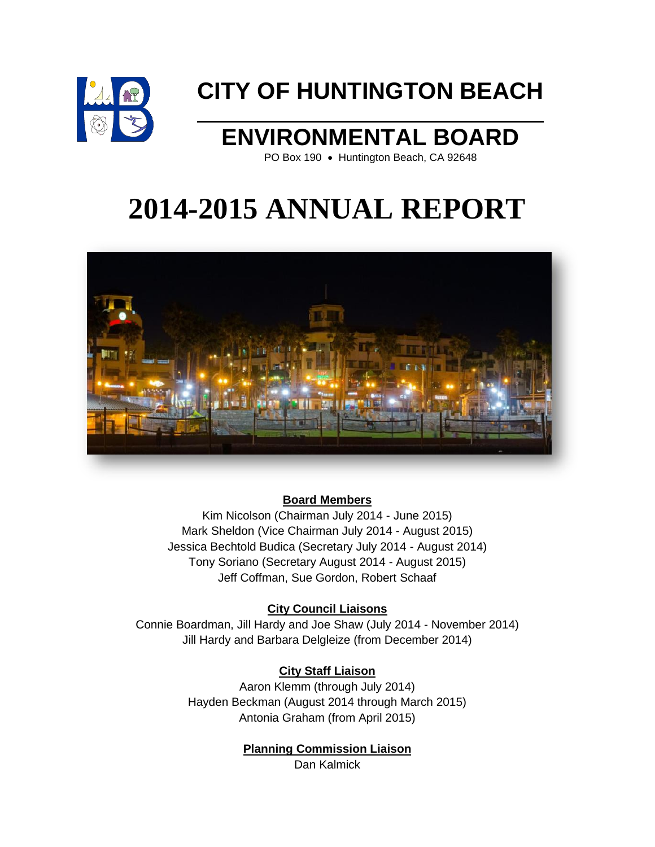

## **CITY OF HUNTINGTON BEACH**

### **ENVIRONMENTAL BOARD**

PO Box 190 · Huntington Beach, CA 92648

# **2014-2015 ANNUAL REPORT**



#### **Board Members**

Kim Nicolson (Chairman July 2014 - June 2015) Mark Sheldon (Vice Chairman July 2014 - August 2015) Jessica Bechtold Budica (Secretary July 2014 - August 2014) Tony Soriano (Secretary August 2014 - August 2015) Jeff Coffman, Sue Gordon, Robert Schaaf

#### **City Council Liaisons**

Connie Boardman, Jill Hardy and Joe Shaw (July 2014 - November 2014) Jill Hardy and Barbara Delgleize (from December 2014)

#### **City Staff Liaison**

Aaron Klemm (through July 2014) Hayden Beckman (August 2014 through March 2015) Antonia Graham (from April 2015)

**Planning Commission Liaison**

Dan Kalmick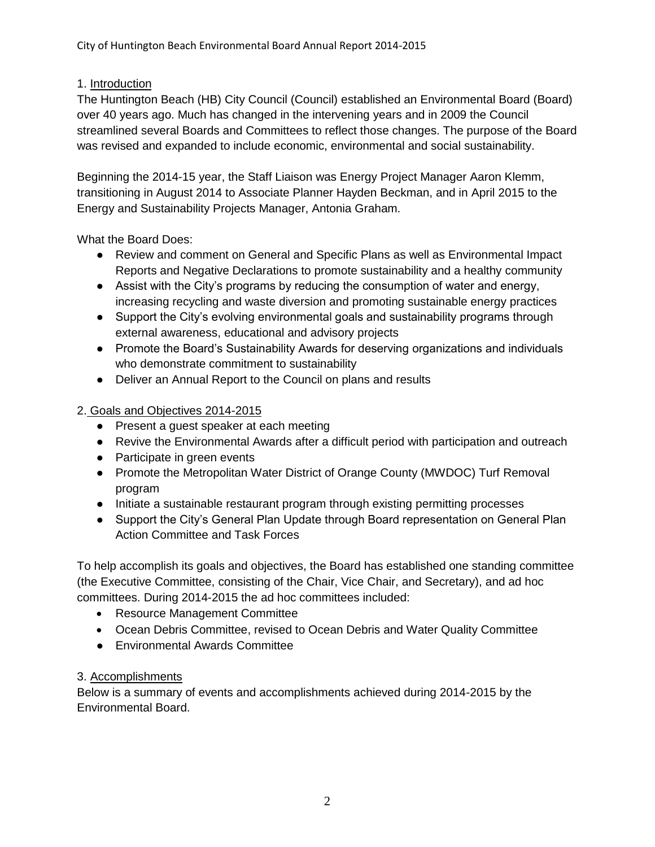#### 1. Introduction

The Huntington Beach (HB) City Council (Council) established an Environmental Board (Board) over 40 years ago. Much has changed in the intervening years and in 2009 the Council streamlined several Boards and Committees to reflect those changes. The purpose of the Board was revised and expanded to include economic, environmental and social sustainability.

Beginning the 2014-15 year, the Staff Liaison was Energy Project Manager Aaron Klemm, transitioning in August 2014 to Associate Planner Hayden Beckman, and in April 2015 to the Energy and Sustainability Projects Manager, Antonia Graham.

What the Board Does:

- Review and comment on General and Specific Plans as well as Environmental Impact Reports and Negative Declarations to promote sustainability and a healthy community
- Assist with the City's programs by reducing the consumption of water and energy, increasing recycling and waste diversion and promoting sustainable energy practices
- Support the City's evolving environmental goals and sustainability programs through external awareness, educational and advisory projects
- Promote the Board's Sustainability Awards for deserving organizations and individuals who demonstrate commitment to sustainability
- Deliver an Annual Report to the Council on plans and results
- 2. Goals and Objectives 2014-2015
	- Present a quest speaker at each meeting
	- Revive the Environmental Awards after a difficult period with participation and outreach
	- Participate in green events
	- Promote the Metropolitan Water District of Orange County (MWDOC) Turf Removal program
	- Initiate a sustainable restaurant program through existing permitting processes
	- Support the City's General Plan Update through Board representation on General Plan Action Committee and Task Forces

To help accomplish its goals and objectives, the Board has established one standing committee (the Executive Committee, consisting of the Chair, Vice Chair, and Secretary), and ad hoc committees. During 2014-2015 the ad hoc committees included:

- Resource Management Committee
- Ocean Debris Committee, revised to Ocean Debris and Water Quality Committee
- Environmental Awards Committee

#### 3. Accomplishments

Below is a summary of events and accomplishments achieved during 2014-2015 by the Environmental Board.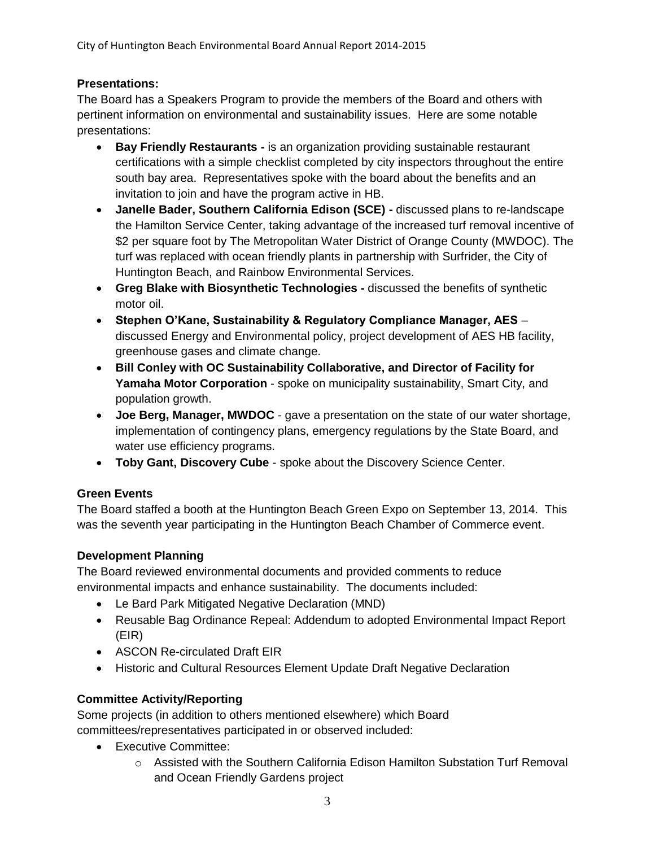#### **Presentations:**

The Board has a Speakers Program to provide the members of the Board and others with pertinent information on environmental and sustainability issues. Here are some notable presentations:

- **Bay Friendly Restaurants -** is an organization providing sustainable restaurant certifications with a simple checklist completed by city inspectors throughout the entire south bay area. Representatives spoke with the board about the benefits and an invitation to join and have the program active in HB.
- **Janelle Bader, Southern California Edison (SCE) -** discussed plans to re-landscape the Hamilton Service Center, taking advantage of the increased turf removal incentive of \$2 per square foot by The Metropolitan Water District of Orange County (MWDOC). The turf was replaced with ocean friendly plants in partnership with Surfrider, the City of Huntington Beach, and Rainbow Environmental Services.
- **Greg Blake with Biosynthetic Technologies -** discussed the benefits of synthetic motor oil.
- **Stephen O'Kane, Sustainability & Regulatory Compliance Manager, AES** discussed Energy and Environmental policy, project development of AES HB facility, greenhouse gases and climate change.
- **Bill Conley with OC Sustainability Collaborative, and Director of Facility for Yamaha Motor Corporation** - spoke on municipality sustainability, Smart City, and population growth.
- **Joe Berg, Manager, MWDOC** gave a presentation on the state of our water shortage, implementation of contingency plans, emergency regulations by the State Board, and water use efficiency programs.
- **Toby Gant, Discovery Cube** spoke about the Discovery Science Center.

#### **Green Events**

The Board staffed a booth at the Huntington Beach Green Expo on September 13, 2014. This was the seventh year participating in the Huntington Beach Chamber of Commerce event.

#### **Development Planning**

The Board reviewed environmental documents and provided comments to reduce environmental impacts and enhance sustainability. The documents included:

- Le Bard Park Mitigated Negative Declaration (MND)
- Reusable Bag Ordinance Repeal: Addendum to adopted Environmental Impact Report (EIR)
- ASCON Re-circulated Draft EIR
- Historic and Cultural Resources Element Update Draft Negative Declaration

#### **Committee Activity/Reporting**

Some projects (in addition to others mentioned elsewhere) which Board committees/representatives participated in or observed included:

- Executive Committee:
	- $\circ$  Assisted with the Southern California Edison Hamilton Substation Turf Removal and Ocean Friendly Gardens project